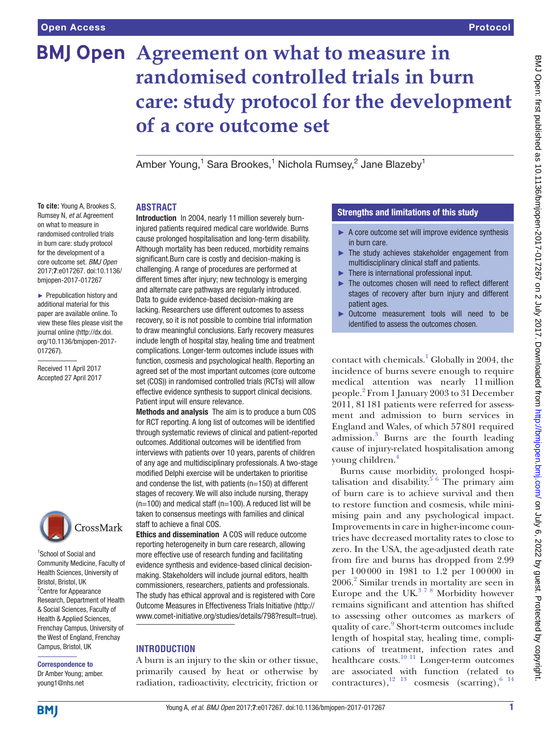# **BMJ Open** Agreement on what to measure in **randomised controlled trials in burn care: study protocol for the development of a core outcome set**

Amber Young, $^1$  Sara Brookes, $^1$  Nichola Rumsey, $^2$  Jane Blazeby $^1$ 

## **Abstract**

**To cite:** Young A, Brookes S, Rumsey N, *et al*. Agreement on what to measure in randomised controlled trials in burn care: study protocol for the development of a core outcome set. *BMJ Open* 2017;7:e017267. doi:10.1136/ bmjopen-2017-017267

► Prepublication history and additional material for this paper are available online. To view these files please visit the journal online [\(http://dx.doi.](http://dx.doi.org/10.1136/bmjopen-2017-017267) [org/10.1136/bmjopen-2017-](http://dx.doi.org/10.1136/bmjopen-2017-017267) [017267\)](http://dx.doi.org/10.1136/bmjopen-2017-017267).

Received 11 April 2017 Accepted 27 April 2017



1 School of Social and Community Medicine, Faculty of Health Sciences, University of Bristol, Bristol, UK <sup>2</sup> Centre for Appearance Research, Department of Health & Social Sciences, Faculty of Health & Applied Sciences, Frenchay Campus, University of the West of England, Frenchay Campus, Bristol, UK

Correspondence to Dr Amber Young; amber. young1@nhs.net

Introduction In 2004, nearly 11 million severely burninjured patients required medical care worldwide. Burns cause prolonged hospitalisation and long-term disability. Although mortality has been reduced, morbidity remains significant.Burn care is costly and decision-making is challenging. A range of procedures are performed at different times after injury; new technology is emerging and alternate care pathways are regularly introduced. Data to guide evidence-based decision-making are lacking. Researchers use different outcomes to assess recovery, so it is not possible to combine trial information to draw meaningful conclusions. Early recovery measures include length of hospital stay, healing time and treatment complications. Longer-term outcomes include issues with function, cosmesis and psychological health. Reporting an agreed set of the most important outcomes (core outcome set (COS)) in randomised controlled trials (RCTs) will allow effective evidence synthesis to support clinical decisions. Patient input will ensure relevance.

Methods and analysis The aim is to produce a burn COS for RCT reporting. A long list of outcomes will be identified through systematic reviews of clinical and patient-reported outcomes. Additional outcomes will be identified from interviews with patients over 10 years, parents of children of any age and multidisciplinary professionals. A two-stage modified Delphi exercise will be undertaken to prioritise and condense the list, with patients (n=150) at different stages of recovery. We will also include nursing, therapy (n=100) and medical staff (n=100). A reduced list will be taken to consensus meetings with families and clinical staff to achieve a final COS.

Ethics and dissemination A COS will reduce outcome reporting heterogeneity in burn care research, allowing more effective use of research funding and facilitating evidence synthesis and evidence-based clinical decisionmaking. Stakeholders will include journal editors, health commissioners, researchers, patients and professionals. The study has ethical approval and is registered with Core Outcome Measures in Effectiveness Trials Initiative [\(http://](http://www.comet-initiative.org/studies/details/798?result=true) [www.comet-initiative.org/studies/details/798?result=true](http://www.comet-initiative.org/studies/details/798?result=true)).

## **Introduction**

A burn is an injury to the skin or other tissue, primarily caused by heat or otherwise by radiation, radioactivity, electricity, friction or

## Strengths and limitations of this study

- ► A core outcome set will improve evidence synthesis in burn care.
- ► The study achieves stakeholder engagement from multidisciplinary clinical staff and patients.
- $\blacktriangleright$  There is international professional input.
- ► The outcomes chosen will need to reflect different stages of recovery after burn injury and different patient ages.
- ► Outcome measurement tools will need to be identified to assess the outcomes chosen.

contact with chemicals.<sup>[1](#page-6-0)</sup> Globally in 2004, the incidence of burns severe enough to require medical attention was nearly 11million people.[2](#page-6-1) From 1 January 2003 to 31 December 2011, 81181 patients were referred for assessment and admission to burn services in England and Wales, of which 57801 required admission.[3](#page-6-2) Burns are the fourth leading cause of injury-related hospitalisation among young children.[4](#page-6-3)

Burns cause morbidity, prolonged hospi-talisation and disability.<sup>[5 6](#page-6-4)</sup> The primary aim of burn care is to achieve survival and then to restore function and cosmesis, while minimising pain and any psychological impact. Improvements in care in higher-income countries have decreased mortality rates to close to zero. In the USA, the age-adjusted death rate from fire and burns has dropped from 2.99 per 100000 in 1981 to 1.2 per 100000 in 2006.[2](#page-6-1) Similar trends in mortality are seen in Europe and the UK. $378$  Morbidity however remains significant and attention has shifted to assessing other outcomes as markers of quality of care.<sup>9</sup> Short-term outcomes include length of hospital stay, healing time, complications of treatment, infection rates and healthcare costs. $10^{-11}$  Longer-term outcomes are associated with function (related to contractures), $^{12}$   $^{13}$  cosmesis (scarring), $^{6}$   $^{14}$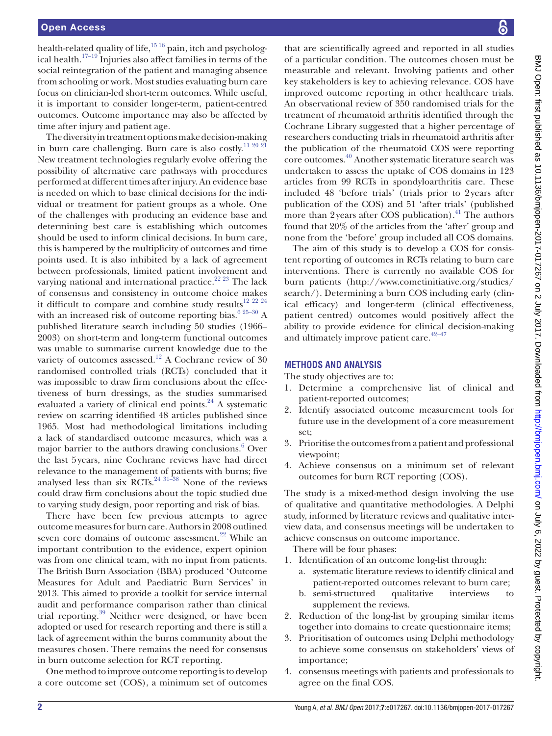health-related quality of life,<sup>[15 16](#page-6-9)</sup> pain, itch and psycholog-ical health.<sup>[17–19](#page-6-10)</sup> Injuries also affect families in terms of the social reintegration of the patient and managing absence from schooling or work. Most studies evaluating burn care focus on clinician-led short-term outcomes. While useful, it is important to consider longer-term, patient-centred outcomes. Outcome importance may also be affected by time after injury and patient age.

The diversity in treatment options make decision-making in burn care challenging. Burn care is also costly.<sup>[11 20 21](#page-6-11)</sup> New treatment technologies regularly evolve offering the possibility of alternative care pathways with procedures performed at different times after injury. An evidence base is needed on which to base clinical decisions for the individual or treatment for patient groups as a whole. One of the challenges with producing an evidence base and determining best care is establishing which outcomes should be used to inform clinical decisions. In burn care, this is hampered by the multiplicity of outcomes and time points used. It is also inhibited by a lack of agreement between professionals, limited patient involvement and varying national and international practice.<sup>22 23</sup> The lack of consensus and consistency in outcome choice makes it difficult to compare and combine study results<sup>[12 22 24](#page-6-7)</sup> with an increased risk of outcome reporting bias.<sup>6 25–30</sup> A published literature search including 50 studies (1966– 2003) on short-term and long-term functional outcomes was unable to summarise current knowledge due to the variety of outcomes assessed.<sup>12</sup> A Cochrane review of 30 randomised controlled trials (RCTs) concluded that it was impossible to draw firm conclusions about the effectiveness of burn dressings, as the studies summarised evaluated a variety of clinical end points. $24$  A systematic review on scarring identified 48 articles published since 1965. Most had methodological limitations including a lack of standardised outcome measures, which was a major barrier to the authors drawing conclusions.<sup>6</sup> Over the last 5years, nine Cochrane reviews have had direct relevance to the management of patients with burns; five analysed less than six  $\overline{RCTs}$ .<sup>24 31–38</sup> None of the reviews</sup> could draw firm conclusions about the topic studied due to varying study design, poor reporting and risk of bias.

There have been few previous attempts to agree outcome measures for burn care. Authors in 2008 outlined seven core domains of outcome assessment.<sup>[22](#page-6-12)</sup> While an important contribution to the evidence, expert opinion was from one clinical team, with no input from patients. The British Burn Association (BBA) produced 'Outcome Measures for Adult and Paediatric Burn Services' in 2013. This aimed to provide a toolkit for service internal audit and performance comparison rather than clinical trial reporting.<sup>39</sup> Neither were designed, or have been adopted or used for research reporting and there is still a lack of agreement within the burns community about the measures chosen. There remains the need for consensus in burn outcome selection for RCT reporting.

One method to improve outcome reporting is to develop a core outcome set (COS), a minimum set of outcomes

that are scientifically agreed and reported in all studies of a particular condition. The outcomes chosen must be measurable and relevant. Involving patients and other key stakeholders is key to achieving relevance. COS have improved outcome reporting in other healthcare trials. An observational review of 350 randomised trials for the treatment of rheumatoid arthritis identified through the Cochrane Library suggested that a higher percentage of researchers conducting trials in rheumatoid arthritis after the publication of the rheumatoid COS were reporting core outcomes.[40](#page-6-15) Another systematic literature search was undertaken to assess the uptake of COS domains in 123 articles from 99 RCTs in spondyloarthritis care. These included 48 'before trials' (trials prior to 2years after publication of the COS) and 51 'after trials' (published more than 2years after COS publication).<sup>41</sup> The authors found that 20% of the articles from the 'after' group and none from the 'before' group included all COS domains.

The aim of this study is to develop a COS for consistent reporting of outcomes in RCTs relating to burn care interventions. There is currently no available COS for burn patients ([http://www.cometinitiative.org/studies/](http://www.cometinitiative.org/studies/search/.) [search/\).](http://www.cometinitiative.org/studies/search/.) Determining a burn COS including early (clinical efficacy) and longer-term (clinical effectiveness, patient centred) outcomes would positively affect the ability to provide evidence for clinical decision-making and ultimately improve patient care. $42-47$ 

#### **Methods and analysis**

The study objectives are to:

- 1. Determine a comprehensive list of clinical and patient-reported outcomes;
- 2. Identify associated outcome measurement tools for future use in the development of a core measurement set;
- 3. Prioritise the outcomes from a patient and professional viewpoint;
- 4. Achieve consensus on a minimum set of relevant outcomes for burn RCT reporting (COS).

The study is a mixed-method design involving the use of qualitative and quantitative methodologies. A Delphi study, informed by literature reviews and qualitative interview data, and consensus meetings will be undertaken to achieve consensus on outcome importance.

There will be four phases:

- 1. Identification of an outcome long-list through: a. systematic literature reviews to identify clinical and patient-reported outcomes relevant to burn care;
	- b. semi-structured qualitative interviews to supplement the reviews.
- 2. Reduction of the long-list by grouping similar items together into domains to create questionnaire items;
- 3. Prioritisation of outcomes using Delphi methodology to achieve some consensus on stakeholders' views of importance;
- 4. consensus meetings with patients and professionals to agree on the final COS.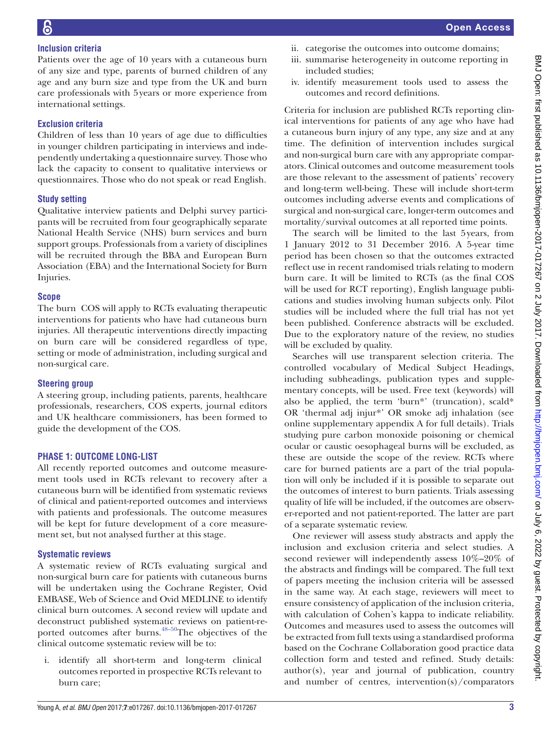# **Inclusion criteria**

Patients over the age of 10 years with a cutaneous burn of any size and type, parents of burned children of any age and any burn size and type from the UK and burn care professionals with 5years or more experience from international settings.

# **Exclusion criteria**

Children of less than 10 years of age due to difficulties in younger children participating in interviews and independently undertaking a questionnaire survey. Those who lack the capacity to consent to qualitative interviews or questionnaires. Those who do not speak or read English.

# **Study setting**

Qualitative interview patients and Delphi survey participants will be recruited from four geographically separate National Health Service (NHS) burn services and burn support groups. Professionals from a variety of disciplines will be recruited through the BBA and European Burn Association (EBA) and the International Society for Burn Injuries.

# **Scope**

The burn COS will apply to RCTs evaluating therapeutic interventions for patients who have had cutaneous burn injuries. All therapeutic interventions directly impacting on burn care will be considered regardless of type, setting or mode of administration, including surgical and non-surgical care.

# **Steering group**

A steering group, including patients, parents, healthcare professionals, researchers, COS experts, journal editors and UK healthcare commissioners, has been formed to guide the development of the COS.

# **Phase 1: outcome long-list**

All recently reported outcomes and outcome measurement tools used in RCTs relevant to recovery after a cutaneous burn will be identified from systematic reviews of clinical and patient-reported outcomes and interviews with patients and professionals. The outcome measures will be kept for future development of a core measurement set, but not analysed further at this stage.

# **Systematic reviews**

A systematic review of RCTs evaluating surgical and non-surgical burn care for patients with cutaneous burns will be undertaken using the Cochrane Register, Ovid EMBASE, Web of Science and Ovid MEDLINE to identify clinical burn outcomes. A second review will update and deconstruct published systematic reviews on patient-reported outcomes after burns. $48-50$ The objectives of the clinical outcome systematic review will be to:

i. identify all short-term and long-term clinical outcomes reported in prospective RCTs relevant to burn care;

- ii. categorise the outcomes into outcome domains;
- iii. summarise heterogeneity in outcome reporting in included studies;
- iv. identify measurement tools used to assess the outcomes and record definitions.

Criteria for inclusion are published RCTs reporting clinical interventions for patients of any age who have had a cutaneous burn injury of any type, any size and at any time. The definition of intervention includes surgical and non-surgical burn care with any appropriate comparators. Clinical outcomes and outcome measurement tools are those relevant to the assessment of patients' recovery and long-term well-being. These will include short-term outcomes including adverse events and complications of surgical and non-surgical care, longer-term outcomes and mortality/survival outcomes at all reported time points.

The search will be limited to the last 5years, from 1 January 2012 to 31 December 2016. A 5-year time period has been chosen so that the outcomes extracted reflect use in recent randomised trials relating to modern burn care. It will be limited to RCTs (as the final COS will be used for RCT reporting), English language publications and studies involving human subjects only. Pilot studies will be included where the full trial has not yet been published. Conference abstracts will be excluded. Due to the exploratory nature of the review, no studies will be excluded by quality.

Searches will use transparent selection criteria. The controlled vocabulary of Medical Subject Headings, including subheadings, publication types and supplementary concepts, will be used. Free text (keywords) will also be applied, the term 'burn\*' (truncation), scald\* OR 'thermal adj injur\*' OR smoke adj inhalation (see [online supplementary appendix](https://dx.doi.org/10.1136/bmjopen-2017-017267) A for full details). Trials studying pure carbon monoxide poisoning or chemical ocular or caustic oesophageal burns will be excluded, as these are outside the scope of the review. RCTs where care for burned patients are a part of the trial population will only be included if it is possible to separate out the outcomes of interest to burn patients. Trials assessing quality of life will be included, if the outcomes are observer-reported and not patient-reported. The latter are part of a separate systematic review.

One reviewer will assess study abstracts and apply the inclusion and exclusion criteria and select studies. A second reviewer will independently assess 10%–20% of the abstracts and findings will be compared. The full text of papers meeting the inclusion criteria will be assessed in the same way. At each stage, reviewers will meet to ensure consistency of application of the inclusion criteria, with calculation of Cohen's kappa to indicate reliability. Outcomes and measures used to assess the outcomes will be extracted from full texts using a standardised proforma based on the Cochrane Collaboration good practice data collection form and tested and refined. Study details: author(s), year and journal of publication, country and number of centres, intervention(s)/comparators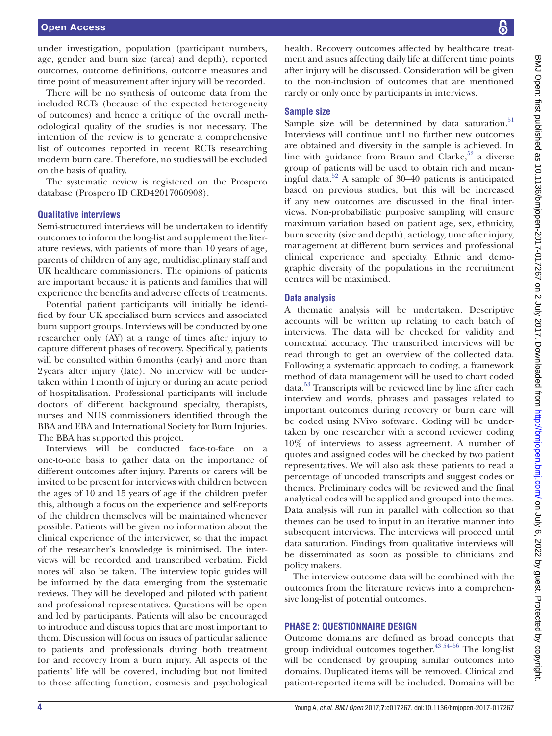under investigation, population (participant numbers, age, gender and burn size (area) and depth), reported outcomes, outcome definitions, outcome measures and time point of measurement after injury will be recorded.

There will be no synthesis of outcome data from the included RCTs (because of the expected heterogeneity of outcomes) and hence a critique of the overall methodological quality of the studies is not necessary. The intention of the review is to generate a comprehensive list of outcomes reported in recent RCTs researching modern burn care. Therefore, no studies will be excluded on the basis of quality.

The systematic review is registered on the Prospero database (Prospero ID CRD42017060908).

#### **Qualitative interviews**

Semi-structured interviews will be undertaken to identify outcomes to inform the long-list and supplement the literature reviews, with patients of more than 10 years of age, parents of children of any age, multidisciplinary staff and UK healthcare commissioners. The opinions of patients are important because it is patients and families that will experience the benefits and adverse effects of treatments.

Potential patient participants will initially be identified by four UK specialised burn services and associated burn support groups. Interviews will be conducted by one researcher only (AY) at a range of times after injury to capture different phases of recovery. Specifically, patients will be consulted within 6 months (early) and more than 2years after injury (late). No interview will be undertaken within 1month of injury or during an acute period of hospitalisation. Professional participants will include doctors of different background specialty, therapists, nurses and NHS commissioners identified through the BBA and EBA and International Society for Burn Injuries. The BBA has supported this project.

Interviews will be conducted face-to-face on a one-to-one basis to gather data on the importance of different outcomes after injury. Parents or carers will be invited to be present for interviews with children between the ages of 10 and 15 years of age if the children prefer this, although a focus on the experience and self-reports of the children themselves will be maintained whenever possible. Patients will be given no information about the clinical experience of the interviewer, so that the impact of the researcher's knowledge is minimised. The interviews will be recorded and transcribed verbatim. Field notes will also be taken. The interview topic guides will be informed by the data emerging from the systematic reviews. They will be developed and piloted with patient and professional representatives. Questions will be open and led by participants. Patients will also be encouraged to introduce and discuss topics that are most important to them. Discussion will focus on issues of particular salience to patients and professionals during both treatment for and recovery from a burn injury. All aspects of the patients' life will be covered, including but not limited to those affecting function, cosmesis and psychological

health. Recovery outcomes affected by healthcare treatment and issues affecting daily life at different time points after injury will be discussed. Consideration will be given to the non-inclusion of outcomes that are mentioned rarely or only once by participants in interviews.

## **Sample size**

Sample size will be determined by data saturation. $51$ Interviews will continue until no further new outcomes are obtained and diversity in the sample is achieved. In line with guidance from Braun and Clarke,  $52$  a diverse group of patients will be used to obtain rich and meaningful data. $52$  A sample of 30–40 patients is anticipated based on previous studies, but this will be increased if any new outcomes are discussed in the final interviews. Non-probabilistic purposive sampling will ensure maximum variation based on patient age, sex, ethnicity, burn severity (size and depth), aetiology, time after injury, management at different burn services and professional clinical experience and specialty. Ethnic and demographic diversity of the populations in the recruitment centres will be maximised.

#### **Data analysis**

A thematic analysis will be undertaken. Descriptive accounts will be written up relating to each batch of interviews. The data will be checked for validity and contextual accuracy. The transcribed interviews will be read through to get an overview of the collected data. Following a systematic approach to coding, a framework method of data management will be used to chart coded data.[53](#page-6-21) Transcripts will be reviewed line by line after each interview and words, phrases and passages related to important outcomes during recovery or burn care will be coded using NVivo software. Coding will be undertaken by one researcher with a second reviewer coding 10% of interviews to assess agreement. A number of quotes and assigned codes will be checked by two patient representatives. We will also ask these patients to read a percentage of uncoded transcripts and suggest codes or themes. Preliminary codes will be reviewed and the final analytical codes will be applied and grouped into themes. Data analysis will run in parallel with collection so that themes can be used to input in an iterative manner into subsequent interviews. The interviews will proceed until data saturation. Findings from qualitative interviews will be disseminated as soon as possible to clinicians and policy makers.

The interview outcome data will be combined with the outcomes from the literature reviews into a comprehensive long-list of potential outcomes.

#### **Phase 2: questionnaire design**

Outcome domains are defined as broad concepts that group individual outcomes together.<sup>43 54–56</sup> The long-list will be condensed by grouping similar outcomes into domains. Duplicated items will be removed. Clinical and patient-reported items will be included. Domains will be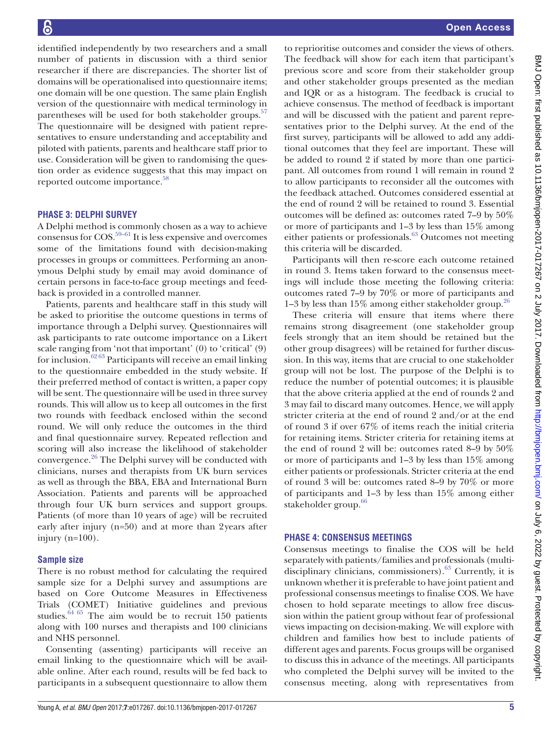identified independently by two researchers and a small number of patients in discussion with a third senior researcher if there are discrepancies. The shorter list of domains will be operationalised into questionnaire items; one domain will be one question. The same plain English version of the questionnaire with medical terminology in parentheses will be used for both stakeholder groups. $57$ The questionnaire will be designed with patient representatives to ensure understanding and acceptability and piloted with patients, parents and healthcare staff prior to use. Consideration will be given to randomising the question order as evidence suggests that this may impact on reported outcome importance.<sup>[58](#page-7-1)</sup>

## **Phase 3: Delphi survey**

A Delphi method is commonly chosen as a way to achieve consensus for COS.[59–61](#page-7-2) It is less expensive and overcomes some of the limitations found with decision-making processes in groups or committees. Performing an anonymous Delphi study by email may avoid dominance of certain persons in face-to-face group meetings and feedback is provided in a controlled manner.

Patients, parents and healthcare staff in this study will be asked to prioritise the outcome questions in terms of importance through a Delphi survey. Questionnaires will ask participants to rate outcome importance on a Likert scale ranging from 'not that important' (0) to 'critical' (9) for inclusion.<sup>62 63</sup> Participants will receive an email linking to the questionnaire embedded in the study website. If their preferred method of contact is written, a paper copy will be sent. The questionnaire will be used in three survey rounds. This will allow us to keep all outcomes in the first two rounds with feedback enclosed within the second round. We will only reduce the outcomes in the third and final questionnaire survey. Repeated reflection and scoring will also increase the likelihood of stakeholder convergence.[26](#page-6-23) The Delphi survey will be conducted with clinicians, nurses and therapists from UK burn services as well as through the BBA, EBA and International Burn Association. Patients and parents will be approached through four UK burn services and support groups. Patients (of more than 10 years of age) will be recruited early after injury (n=50) and at more than 2years after injury (n=100).

#### **Sample size**

There is no robust method for calculating the required sample size for a Delphi survey and assumptions are based on Core Outcome Measures in Effectiveness Trials (COMET) Initiative guidelines and previous studies.<sup>64 65</sup> The aim would be to recruit 150 patients along with 100 nurses and therapists and 100 clinicians and NHS personnel.

Consenting (assenting) participants will receive an email linking to the questionnaire which will be available online. After each round, results will be fed back to participants in a subsequent questionnaire to allow them

to reprioritise outcomes and consider the views of others. The feedback will show for each item that participant's previous score and score from their stakeholder group and other stakeholder groups presented as the median and IQR or as a histogram. The feedback is crucial to achieve consensus. The method of feedback is important and will be discussed with the patient and parent representatives prior to the Delphi survey. At the end of the first survey, participants will be allowed to add any additional outcomes that they feel are important. These will be added to round 2 if stated by more than one participant. All outcomes from round 1 will remain in round 2 to allow participants to reconsider all the outcomes with the feedback attached. Outcomes considered essential at the end of round 2 will be retained to round 3. Essential outcomes will be defined as: outcomes rated 7–9 by 50% or more of participants and 1–3 by less than 15% among either patients or professionals.<sup>63</sup> Outcomes not meeting this criteria will be discarded.

Participants will then re-score each outcome retained in round 3. Items taken forward to the consensus meetings will include those meeting the following criteria: outcomes rated 7–9 by 70% or more of participants and 1–3 by less than 15% among either stakeholder group.<sup>26</sup>

These criteria will ensure that items where there remains strong disagreement (one stakeholder group feels strongly that an item should be retained but the other group disagrees) will be retained for further discussion. In this way, items that are crucial to one stakeholder group will not be lost. The purpose of the Delphi is to reduce the number of potential outcomes; it is plausible that the above criteria applied at the end of rounds 2 and 3 may fail to discard many outcomes. Hence, we will apply stricter criteria at the end of round 2 and/or at the end of round 3 if over 67% of items reach the initial criteria for retaining items. Stricter criteria for retaining items at the end of round 2 will be: outcomes rated 8–9 by 50% or more of participants and 1–3 by less than 15% among either patients or professionals. Stricter criteria at the end of round 3 will be: outcomes rated 8–9 by 70% or more of participants and 1–3 by less than 15% among either stakeholder group.<sup>66</sup>

#### **Phase 4: consensus meetings**

Consensus meetings to finalise the COS will be held separately with patients/families and professionals (multidisciplinary clinicians, commissioners).<sup>63</sup> Currently, it is unknown whether it is preferable to have joint patient and professional consensus meetings to finalise COS. We have chosen to hold separate meetings to allow free discussion within the patient group without fear of professional views impacting on decision-making. We will explore with children and families how best to include patients of different ages and parents. Focus groups will be organised to discuss this in advance of the meetings. All participants who completed the Delphi survey will be invited to the consensus meeting, along with representatives from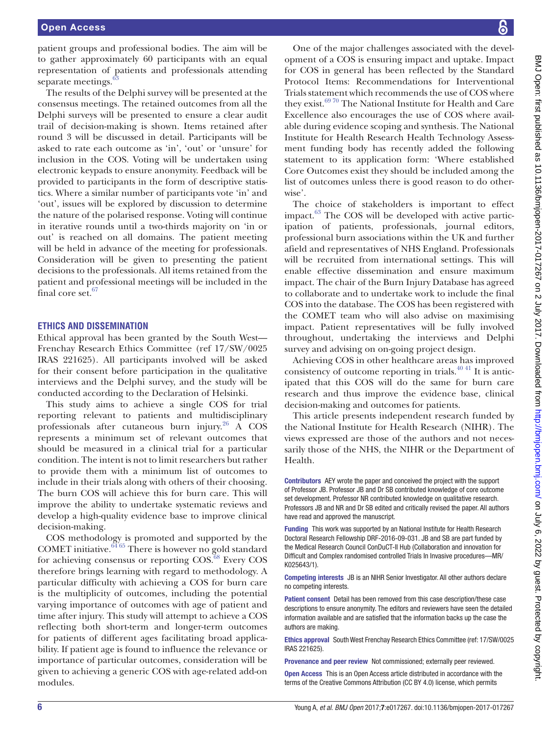patient groups and professional bodies. The aim will be to gather approximately 60 participants with an equal representation of patients and professionals attending separate meetings.<sup>63</sup>

The results of the Delphi survey will be presented at the consensus meetings. The retained outcomes from all the Delphi surveys will be presented to ensure a clear audit trail of decision-making is shown. Items retained after round 3 will be discussed in detail. Participants will be asked to rate each outcome as 'in', 'out' or 'unsure' for inclusion in the COS. Voting will be undertaken using electronic keypads to ensure anonymity. Feedback will be provided to participants in the form of descriptive statistics. Where a similar number of participants vote 'in' and 'out', issues will be explored by discussion to determine the nature of the polarised response. Voting will continue in iterative rounds until a two-thirds majority on 'in or out' is reached on all domains. The patient meeting will be held in advance of the meeting for professionals. Consideration will be given to presenting the patient decisions to the professionals. All items retained from the patient and professional meetings will be included in the final core set. $67$ 

#### **Ethics and dissemination**

Ethical approval has been granted by the South West— Frenchay Research Ethics Committee (ref 17/SW/0025 IRAS 221625). All participants involved will be asked for their consent before participation in the qualitative interviews and the Delphi survey, and the study will be conducted according to the Declaration of Helsinki.

This study aims to achieve a single COS for trial reporting relevant to patients and multidisciplinary professionals after cutaneous burn injury. $26$  A COS represents a minimum set of relevant outcomes that should be measured in a clinical trial for a particular condition. The intent is not to limit researchers but rather to provide them with a minimum list of outcomes to include in their trials along with others of their choosing. The burn COS will achieve this for burn care. This will improve the ability to undertake systematic reviews and develop a high-quality evidence base to improve clinical decision-making.

COS methodology is promoted and supported by the COMET initiative. $6465$  There is however no gold standard for achieving consensus or reporting COS.<sup>[68](#page-7-8)</sup> Every COS therefore brings learning with regard to methodology. A particular difficulty with achieving a COS for burn care is the multiplicity of outcomes, including the potential varying importance of outcomes with age of patient and time after injury. This study will attempt to achieve a COS reflecting both short-term and longer-term outcomes for patients of different ages facilitating broad applicability. If patient age is found to influence the relevance or importance of particular outcomes, consideration will be given to achieving a generic COS with age-related add-on modules.

One of the major challenges associated with the development of a COS is ensuring impact and uptake. Impact for COS in general has been reflected by the Standard Protocol Items: Recommendations for Interventional Trials statement which recommends the use of COS where they exist.<sup>6970</sup> The National Institute for Health and Care Excellence also encourages the use of COS where available during evidence scoping and synthesis. The National Institute for Health Research Health Technology Assessment funding body has recently added the following statement to its application form: 'Where established Core Outcomes exist they should be included among the list of outcomes unless there is good reason to do otherwise'.

The choice of stakeholders is important to effect impact. $63$  The COS will be developed with active participation of patients, professionals, journal editors, professional burn associations within the UK and further afield and representatives of NHS England. Professionals will be recruited from international settings. This will enable effective dissemination and ensure maximum impact. The chair of the Burn Injury Database has agreed to collaborate and to undertake work to include the final COS into the database. The COS has been registered with the COMET team who will also advise on maximising impact. Patient representatives will be fully involved throughout, undertaking the interviews and Delphi survey and advising on on-going project design.

Achieving COS in other healthcare areas has improved consistency of outcome reporting in trials. $4041$  It is anticipated that this COS will do the same for burn care research and thus improve the evidence base, clinical decision-making and outcomes for patients.

This article presents independent research funded by the National Institute for Health Research (NIHR). The views expressed are those of the authors and not necessarily those of the NHS, the NIHR or the Department of Health.

Contributors AEY wrote the paper and conceived the project with the support of Professor JB. Professor JB and Dr SB contributed knowledge of core outcome set development. Professor NR contributed knowledge on qualitative research. Professors JB and NR and Dr SB edited and critically revised the paper. All authors have read and approved the manuscript.

Funding This work was supported by an National Institute for Health Research Doctoral Research Fellowship DRF-2016-09-031. JB and SB are part funded by the Medical Research Council ConDuCT-II Hub (Collaboration and innovation for Difficult and Complex randomised controlled Trials In Invasive procedures—MR/ K025643/1).

Competing interests JB is an NIHR Senior Investigator. All other authors declare no competing interests.

Patient consent Detail has been removed from this case description/these case descriptions to ensure anonymity. The editors and reviewers have seen the detailed information available and are satisfied that the information backs up the case the authors are making.

Ethics approval South West Frenchay Research Ethics Committee (ref: 17/SW/0025 IRAS 221625).

Provenance and peer review Not commissioned; externally peer reviewed.

Open Access This is an Open Access article distributed in accordance with the terms of the Creative Commons Attribution (CC BY 4.0) license, which permits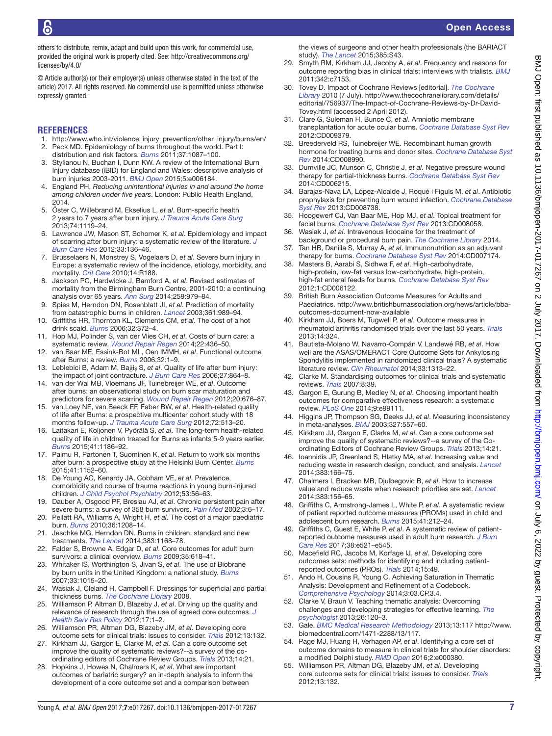others to distribute, remix, adapt and build upon this work, for commercial use, provided the original work is properly cited. See: [http://creativecommons.org/](http://creativecommons.org/licenses/by/4.0/) [licenses/by/4.0/](http://creativecommons.org/licenses/by/4.0/)

© Article author(s) (or their employer(s) unless otherwise stated in the text of the article) 2017. All rights reserved. No commercial use is permitted unless otherwise expressly granted.

#### **References**

- <span id="page-6-1"></span><span id="page-6-0"></span>1. [http://www.who.int/violence\\_injury\\_prevention/other\\_injury/burns/en/](http://www.who.int/violence_injury_prevention/other_injury/burns/en/) 2. Peck MD. Epidemiology of burns throughout the world. Part I:
- distribution and risk factors. *[Burns](http://dx.doi.org/10.1016/j.burns.2011.06.005)* 2011;37:1087–100.
- <span id="page-6-2"></span>3. Stylianou N, Buchan I, Dunn KW. A review of the International Burn Injury database (iBID) for England and Wales: descriptive analysis of burn injuries 2003-2011. *[BMJ Open](http://dx.doi.org/10.1136/bmjopen-2014-006184)* 2015;5:e006184.
- <span id="page-6-3"></span>4. England PH. *Reducing unintentional injuries in and around the home among children under five years*. London: Public Health England, 2014.
- <span id="page-6-4"></span>5. Öster C, Willebrand M, Ekselius L, *et al*. Burn-specific health 2 years to 7 years after burn injury. *[J Trauma Acute Care Surg](http://dx.doi.org/10.1097/TA.0b013e318283cca0)* 2013;74:1119–24.
- <span id="page-6-8"></span>6. Lawrence JW, Mason ST, Schomer K, *et al*. Epidemiology and impact of scarring after burn injury: a systematic review of the literature. *[J](http://dx.doi.org/10.1097/BCR.0b013e3182374452)  [Burn Care Res](http://dx.doi.org/10.1097/BCR.0b013e3182374452)* 2012;33:136–46.
- 7. Brusselaers N, Monstrey S, Vogelaers D, *et al*. Severe burn injury in Europe: a systematic review of the incidence, etiology, morbidity, and mortality. *[Crit Care](http://dx.doi.org/10.1186/cc9300)* 2010;14:R188.
- 8. Jackson PC, Hardwicke J, Bamford A, *et al*. Revised estimates of mortality from the Birmingham Burn Centre, 2001-2010: a continuing analysis over 65 years. *[Ann Surg](http://dx.doi.org/10.1097/SLA.0b013e31829160ca)* 2014;259:979–84.
- <span id="page-6-5"></span>9. Spies M, Herndon DN, Rosenblatt JI, *et al*. Prediction of mortality from catastrophic burns in children. *[Lancet](http://dx.doi.org/10.1016/S0140-6736(03)12824-3)* 2003;361:989–94.
- <span id="page-6-6"></span>10. Griffiths HR, Thornton KL, Clements CM, *et al*. The cost of a hot drink scald. *[Burns](http://dx.doi.org/10.1016/j.burns.2005.10.025)* 2006;32:372–4.
- <span id="page-6-11"></span>11. Hop MJ, Polinder S, van der Vlies CH, *et al*. Costs of burn care: a systematic review. *[Wound Repair Regen](http://dx.doi.org/10.1111/wrr.12189)* 2014;22:436–50.
- <span id="page-6-7"></span>12. van Baar ME, Essink-Bot ML, Oen IMMH, *et al*. Functional outcome after Burns: a review. *[Burns](http://dx.doi.org/10.1016/j.burns.2005.08.007)* 2006;32:1–9.
- 13. Leblebici B, Adam M, Bağiş S, *et al*. Quality of life after burn injury: the impact of joint contracture. *[J Burn Care Res](http://dx.doi.org/10.1097/01.BCR.0000245652.26648.36)* 2006;27:864–8.
- 14. van der Wal MB, Vloemans JF, Tuinebreijer WE, *et al*. Outcome after burns: an observational study on burn scar maturation and predictors for severe scarring. *[Wound Repair Regen](http://dx.doi.org/10.1111/j.1524-475X.2012.00820.x)* 2012;20:676–87.
- <span id="page-6-9"></span>15. van Loey NE, van Beeck EF, Faber BW, *et al*. Health-related quality of life after Burns: a prospective multicenter cohort study with 18 months follow-up. *J Trauma Acute Care Surg* 2012;72:513–20.
- 16. Laitakari E, Koljonen V, Pyörälä S, *et al*. The long-term health-related quality of life in children treated for Burns as infants 5-9 years earlier. *[Burns](http://dx.doi.org/10.1016/j.burns.2015.02.005)* 2015;41:1186–92.
- <span id="page-6-10"></span>17. Palmu R, Partonen T, Suominen K, *et al*. Return to work six months after burn: a prospective study at the Helsinki Burn Center. *[Burns](http://dx.doi.org/10.1016/j.burns.2015.06.010)* 2015;41:1152–60.
- 18. De Young AC, Kenardy JA, Cobham VE, *et al*. Prevalence, comorbidity and course of trauma reactions in young burn-injured children. *[J Child Psychol Psychiatry](http://dx.doi.org/10.1111/j.1469-7610.2011.02431.x)* 2012;53:56–63.
- 19. Dauber A, Osgood PF, Breslau AJ, *et al*. Chronic persistent pain after severe burns: a survey of 358 burn survivors. *[Pain Med](http://dx.doi.org/10.1046/j.1526-4637.2002.02004.x)* 2002;3:6–17.
- 20. Pellatt RA, Williams A, Wright H, *et al*. The cost of a major paediatric burn. *[Burns](http://dx.doi.org/10.1016/j.burns.2010.04.008)* 2010;36:1208–14.
- 21. Jeschke MG, Herndon DN. Burns in children: standard and new treatments. *[The Lancet](http://dx.doi.org/10.1016/S0140-6736(13)61093-4)* 2014;383:1168–78.
- <span id="page-6-12"></span>22. Falder S, Browne A, Edgar D, *et al*. Core outcomes for adult burn survivors: a clinical overview. *[Burns](http://dx.doi.org/10.1016/j.burns.2008.09.002)* 2009;35:618–41.
- 23. Whitaker IS, Worthington S, Jivan S, *et al*. The use of Biobrane by burn units in the United Kingdom: a national study. *[Burns](http://dx.doi.org/10.1016/j.burns.2006.11.017)* 2007;33:1015–20.
- <span id="page-6-13"></span>24. Wasiak J, Cleland H, Campbell F. Dressings for superficial and partial thickness burns. *The Cochrane Library* 2008.
- 25. Williamson P, Altman D, Blazeby J, *et al*. Driving up the quality and relevance of research through the use of agreed core outcomes. *[J](http://dx.doi.org/10.1258/jhsrp.2011.011131)  [Health Serv Res Policy](http://dx.doi.org/10.1258/jhsrp.2011.011131)* 2012;17:1–2.
- <span id="page-6-23"></span>26. Williamson PR, Altman DG, Blazeby JM, *et al*. Developing core outcome sets for clinical trials: issues to consider. *[Trials](http://dx.doi.org/10.1186/1745-6215-13-132)* 2012;13:132.
- 27. Kirkham JJ, Gargon E, Clarke M, *et al*. Can a core outcome set improve the quality of systematic reviews?--a survey of the coordinating editors of Cochrane Review Groups. *[Trials](http://dx.doi.org/10.1186/1745-6215-14-21)* 2013;14:21.
- 28. Hopkins J, Howes N, Chalmers K, *et al*. What are important outcomes of bariatric surgery? an in-depth analysis to inform the development of a core outcome set and a comparison between

the views of surgeons and other health professionals (the BARIACT study). *[The Lancet](http://dx.doi.org/10.1016/S0140-6736(15)60358-0)* 2015;385:S43.

- 29. Smyth RM, Kirkham JJ, Jacoby A, *et al*. Frequency and reasons for outcome reporting bias in clinical trials: interviews with trialists. *[BMJ](http://dx.doi.org/10.1136/bmj.c7153)* 2011;342:c7153.
- 30. Tovey D. Impact of Cochrane Reviews [editorial]. *The Cochrane Library* 2010 (7 July). [http://www.thecochranelibrary.com/details/](http://www.thecochranelibrary.com/details/editorial/756937/The-Impact-of-Cochrane-Reviews-by-Dr-David-Tovey.html) [editorial/756937/The-Impact-of-Cochrane-Reviews-by-Dr-David-](http://www.thecochranelibrary.com/details/editorial/756937/The-Impact-of-Cochrane-Reviews-by-Dr-David-Tovey.html)[Tovey.html](http://www.thecochranelibrary.com/details/editorial/756937/The-Impact-of-Cochrane-Reviews-by-Dr-David-Tovey.html) (accessed 2 April 2012).
- 31. Clare G, Suleman H, Bunce C, *et al*. Amniotic membrane transplantation for acute ocular burns. *[Cochrane Database Syst Rev](http://dx.doi.org/10.1002/14651858.CD009379.pub2)* 2012:CD009379.
- 32. Breederveld RS, Tuinebreijer WE. Recombinant human growth hormone for treating burns and donor sites. *[Cochrane Database Syst](http://dx.doi.org/10.1002/14651858.CD008990.pub3)  [Rev](http://dx.doi.org/10.1002/14651858.CD008990.pub3)* 2014:CD008990.
- 33. Dumville JC, Munson C, Christie J, *et al*. Negative pressure wound therapy for partial-thickness burns. *[Cochrane Database Syst Rev](http://dx.doi.org/10.1002/14651858.CD006215.pub4)* 2014:CD006215.
- 34. Barajas-Nava LA, López-Alcalde J, Roqué i Figuls M, *et al*. Antibiotic prophylaxis for preventing burn wound infection. *[Cochrane Database](http://dx.doi.org/10.1002/14651858.CD008738.pub2)  [Syst Rev](http://dx.doi.org/10.1002/14651858.CD008738.pub2)* 2013:CD008738.
- 35. Hoogewerf CJ, Van Baar ME, Hop MJ, *et al*. Topical treatment for facial burns. *[Cochrane Database Syst Rev](http://dx.doi.org/10.1002/14651858.CD008058.pub2)* 2013:CD008058.
- 36. Wasiak J, *et al*. Intravenous lidocaine for the treatment of background or procedural burn pain. *The Cochrane Library* 2014.
- 37. Tan HB, Danilla S, Murray A, *et al*. Immunonutrition as an adjuvant therapy for burns. *[Cochrane Database Syst Rev](http://dx.doi.org/10.1002/14651858.CD007174.pub2)* 2014:CD007174.
- 38. Masters B, Aarabi S, Sidhwa F, *et al*. High-carbohydrate, high-protein, low-fat versus low-carbohydrate, high-protein, high-fat enteral feeds for burns. *[Cochrane Database Syst Rev](http://dx.doi.org/10.1002/14651858.CD006122.pub3)* 2012;1:CD006122.
- <span id="page-6-14"></span>39. British Burn Association Outcome Measures for Adults and Paediatrics. [http://www.britishburnassociation.org/news/article/bba](http://www.britishburnassociation.org/news/article/bba-outcomes-document-now-available)[outcomes-document-now-available](http://www.britishburnassociation.org/news/article/bba-outcomes-document-now-available)
- <span id="page-6-15"></span>40. Kirkham JJ, Boers M, Tugwell P, *et al*. Outcome measures in rheumatoid arthritis randomised trials over the last 50 years. *[Trials](http://dx.doi.org/10.1186/1745-6215-14-324)* 2013;14:324.
- <span id="page-6-16"></span>41. Bautista-Molano W, Navarro-Compán V, Landewé RB, *et al*. How well are the ASAS/OMERACT Core Outcome Sets for Ankylosing Spondylitis implemented in randomized clinical trials? A systematic literature review. *[Clin Rheumatol](http://dx.doi.org/10.1007/s10067-014-2728-6)* 2014;33:1313–22.
- <span id="page-6-17"></span>42. Clarke M. Standardising outcomes for clinical trials and systematic reviews. *[Trials](http://dx.doi.org/10.1186/1745-6215-8-39)* 2007;8:39.
- <span id="page-6-22"></span>43. Gargon E, Gurung B, Medley N, *et al*. Choosing important health outcomes for comparative effectiveness research: a systematic review. *[PLoS One](http://dx.doi.org/10.1371/journal.pone.0099111)* 2014;9:e99111.
- 44. Higgins JP, Thompson SG, Deeks JJ, *et al*. Measuring inconsistency in meta-analyses. *[BMJ](http://dx.doi.org/10.1136/bmj.327.7414.557)* 2003;327:557–60.
- 45. Kirkham JJ, Gargon E, Clarke M, *et al*. Can a core outcome set improve the quality of systematic reviews?--a survey of the Coordinating Editors of Cochrane Review Groups. *[Trials](http://dx.doi.org/10.1186/1745-6215-14-21)* 2013;14:21.
- 46. Ioannidis JP, Greenland S, Hlatky MA, *et al*. Increasing value and reducing waste in research design, conduct, and analysis. *[Lancet](http://dx.doi.org/10.1016/S0140-6736(13)62227-8)* 2014;383:166–75.
- 47. Chalmers I, Bracken MB, Djulbegovic B, *et al*. How to increase value and reduce waste when research priorities are set. *[Lancet](http://dx.doi.org/10.1016/S0140-6736(13)62229-1)* 2014;383:156–65.
- <span id="page-6-18"></span>48. Griffiths C, Armstrong-James L, White P, *et al*. A systematic review of patient reported outcome measures (PROMs) used in child and adolescent burn research. *[Burns](http://dx.doi.org/10.1016/j.burns.2014.07.018)* 2015;41:212–24.
- 49. Griffiths C, Guest E, White P, *et al*. A systematic review of patientreported outcome measures used in adult burn research. *[J Burn](http://dx.doi.org/10.1097/BCR.0000000000000474)  [Care Res](http://dx.doi.org/10.1097/BCR.0000000000000474)* 2017;38:e521–e545.
- 50. Macefield RC, Jacobs M, Korfage IJ, *et al*. Developing core outcomes sets: methods for identifying and including patientreported outcomes (PROs). *[Trials](http://dx.doi.org/10.1186/1745-6215-15-49)* 2014;15:49.
- <span id="page-6-19"></span>51. Ando H, Cousins R, Young C. Achieving Saturation in Thematic Analysis: Development and Refinement of a Codebook. *[Comprehensive Psychology](http://dx.doi.org/10.2466/03.CP.3.4)* 2014;3:03.CP.3.4.
- <span id="page-6-20"></span>52. Clarke V, Braun V. Teaching thematic analysis: Overcoming challenges and developing strategies for effective learning. *The psychologist* 2013;26:120–3.
- <span id="page-6-21"></span>53. Gale. *BMC Medical Research Methodology* 2013;13:117 [http://www.](http://www.biomedcentral.com/1471-2288/13/117) [biomedcentral.com/1471-2288/13/117.](http://www.biomedcentral.com/1471-2288/13/117)
- 54. Page MJ, Huang H, Verhagen AP, *et al*. Identifying a core set of outcome domains to measure in clinical trials for shoulder disorders: a modified Delphi study. *[RMD Open](http://dx.doi.org/10.1136/rmdopen-2016-000380)* 2016;2:e000380.
- 55. Williamson PR, Altman DG, Blazeby JM, *et al*. Developing core outcome sets for clinical trials: issues to consider. *[Trials](http://dx.doi.org/10.1186/1745-6215-13-132)* 2012;13:132.